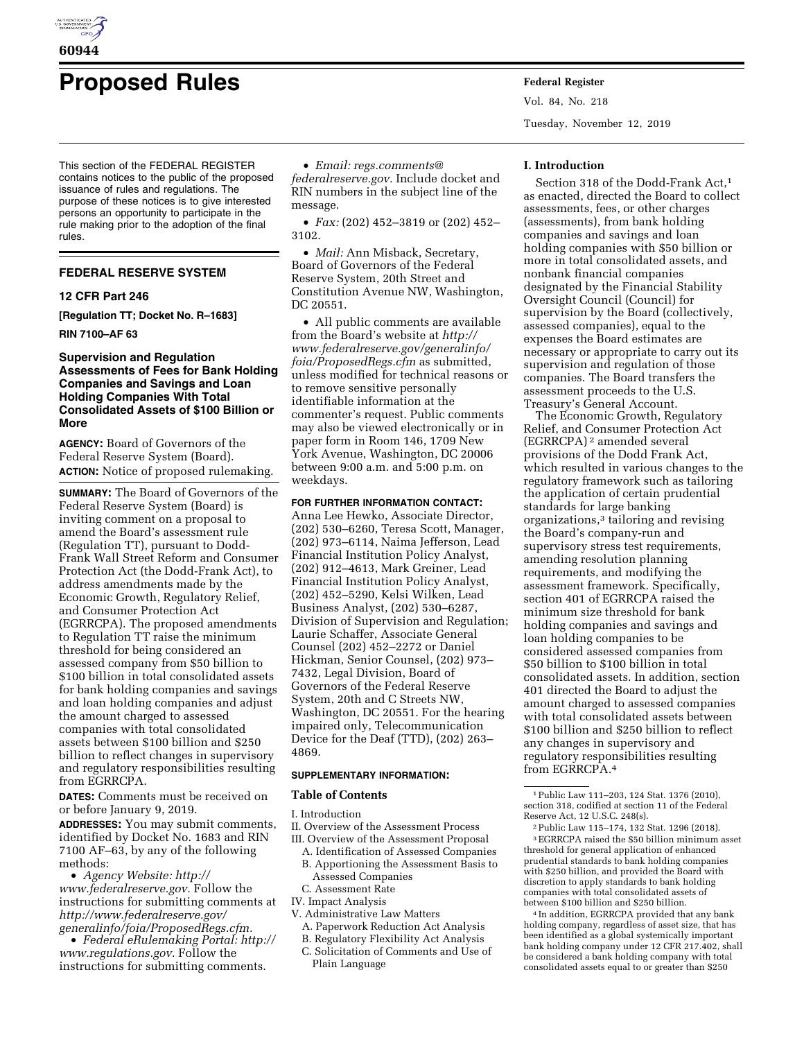

# **Proposed Rules Federal Register**

This section of the FEDERAL REGISTER contains notices to the public of the proposed issuance of rules and regulations. The purpose of these notices is to give interested persons an opportunity to participate in the rule making prior to the adoption of the final rules.

# **FEDERAL RESERVE SYSTEM**

# **12 CFR Part 246**

**[Regulation TT; Docket No. R–1683]** 

# **RIN 7100–AF 63**

# **Supervision and Regulation Assessments of Fees for Bank Holding Companies and Savings and Loan Holding Companies With Total Consolidated Assets of \$100 Billion or More**

**AGENCY:** Board of Governors of the Federal Reserve System (Board). **ACTION:** Notice of proposed rulemaking.

**SUMMARY:** The Board of Governors of the Federal Reserve System (Board) is inviting comment on a proposal to amend the Board's assessment rule (Regulation TT), pursuant to Dodd-Frank Wall Street Reform and Consumer Protection Act (the Dodd-Frank Act), to address amendments made by the Economic Growth, Regulatory Relief, and Consumer Protection Act (EGRRCPA). The proposed amendments to Regulation TT raise the minimum threshold for being considered an assessed company from \$50 billion to \$100 billion in total consolidated assets for bank holding companies and savings and loan holding companies and adjust the amount charged to assessed companies with total consolidated assets between \$100 billion and \$250 billion to reflect changes in supervisory and regulatory responsibilities resulting from EGRRCPA.

**DATES:** Comments must be received on or before January 9, 2019.

**ADDRESSES:** You may submit comments, identified by Docket No. 1683 and RIN 7100 AF–63, by any of the following methods:

• *Agency Website: [http://](http://www.federalreserve.gov) [www.federalreserve.gov.](http://www.federalreserve.gov)* Follow the instructions for submitting comments at *[http://www.federalreserve.gov/](http://www.federalreserve.gov/generalinfo/foia/ProposedRegs.cfm)  [generalinfo/foia/ProposedRegs.cfm.](http://www.federalreserve.gov/generalinfo/foia/ProposedRegs.cfm)* 

• *Federal eRulemaking Portal: [http://](http://www.regulations.gov) [www.regulations.gov.](http://www.regulations.gov)* Follow the instructions for submitting comments.

• *Email: [regs.comments@](mailto:regs.comments@federalreserve.gov) [federalreserve.gov.](mailto:regs.comments@federalreserve.gov)* Include docket and RIN numbers in the subject line of the message.

• *Fax:* (202) 452–3819 or (202) 452– 3102.

• *Mail:* Ann Misback, Secretary, Board of Governors of the Federal Reserve System, 20th Street and Constitution Avenue NW, Washington, DC 20551.

• All public comments are available from the Board's website at *[http://](http://www.federalreserve.gov/generalinfo/foia/ProposedRegs.cfm) [www.federalreserve.gov/generalinfo/](http://www.federalreserve.gov/generalinfo/foia/ProposedRegs.cfm) [foia/ProposedRegs.cfm](http://www.federalreserve.gov/generalinfo/foia/ProposedRegs.cfm)* as submitted, unless modified for technical reasons or to remove sensitive personally identifiable information at the commenter's request. Public comments may also be viewed electronically or in paper form in Room 146, 1709 New York Avenue, Washington, DC 20006 between 9:00 a.m. and 5:00 p.m. on weekdays.

# **FOR FURTHER INFORMATION CONTACT:**

Anna Lee Hewko, Associate Director, (202) 530–6260, Teresa Scott, Manager, (202) 973–6114, Naima Jefferson, Lead Financial Institution Policy Analyst, (202) 912–4613, Mark Greiner, Lead Financial Institution Policy Analyst, (202) 452–5290, Kelsi Wilken, Lead Business Analyst, (202) 530–6287, Division of Supervision and Regulation; Laurie Schaffer, Associate General Counsel (202) 452–2272 or Daniel Hickman, Senior Counsel, (202) 973– 7432, Legal Division, Board of Governors of the Federal Reserve System, 20th and C Streets NW, Washington, DC 20551. For the hearing impaired only, Telecommunication Device for the Deaf (TTD), (202) 263– 4869.

### **SUPPLEMENTARY INFORMATION:**

# **Table of Contents**

I. Introduction

- II. Overview of the Assessment Process
- III. Overview of the Assessment Proposal A. Identification of Assessed Companies
	- B. Apportioning the Assessment Basis to Assessed Companies
- C. Assessment Rate
- IV. Impact Analysis
- V. Administrative Law Matters
	- A. Paperwork Reduction Act Analysis
	- B. Regulatory Flexibility Act Analysis
	- C. Solicitation of Comments and Use of Plain Language

Vol. 84, No. 218 Tuesday, November 12, 2019

# **I. Introduction**

Section 318 of the Dodd-Frank Act,<sup>1</sup> as enacted, directed the Board to collect assessments, fees, or other charges (assessments), from bank holding companies and savings and loan holding companies with \$50 billion or more in total consolidated assets, and nonbank financial companies designated by the Financial Stability Oversight Council (Council) for supervision by the Board (collectively, assessed companies), equal to the expenses the Board estimates are necessary or appropriate to carry out its supervision and regulation of those companies. The Board transfers the assessment proceeds to the U.S. Treasury's General Account.

The Economic Growth, Regulatory Relief, and Consumer Protection Act (EGRRCPA) 2 amended several provisions of the Dodd Frank Act, which resulted in various changes to the regulatory framework such as tailoring the application of certain prudential standards for large banking organizations,3 tailoring and revising the Board's company-run and supervisory stress test requirements, amending resolution planning requirements, and modifying the assessment framework. Specifically, section 401 of EGRRCPA raised the minimum size threshold for bank holding companies and savings and loan holding companies to be considered assessed companies from \$50 billion to \$100 billion in total consolidated assets. In addition, section 401 directed the Board to adjust the amount charged to assessed companies with total consolidated assets between \$100 billion and \$250 billion to reflect any changes in supervisory and regulatory responsibilities resulting from EGRRCPA.4

4 In addition, EGRRCPA provided that any bank holding company, regardless of asset size, that has been identified as a global systemically important bank holding company under 12 CFR 217.402, shall be considered a bank holding company with total consolidated assets equal to or greater than \$250

<sup>1</sup>Public Law 111–203, 124 Stat. 1376 (2010), section 318, codified at section 11 of the Federal Reserve Act, 12 U.S.C. 248(s).

<sup>2</sup>Public Law 115–174, 132 Stat. 1296 (2018). 3EGRRCPA raised the \$50 billion minimum asset threshold for general application of enhanced prudential standards to bank holding companies with \$250 billion, and provided the Board with discretion to apply standards to bank holding companies with total consolidated assets of between \$100 billion and \$250 billion.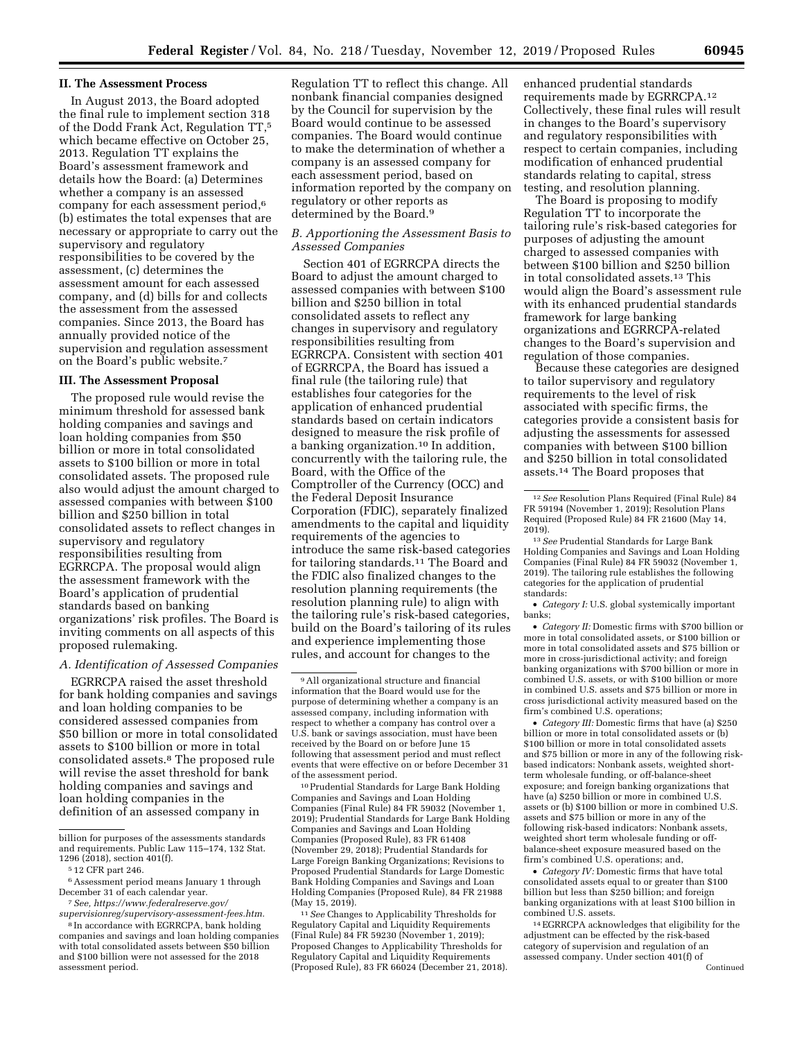# **II. The Assessment Process**

In August 2013, the Board adopted the final rule to implement section 318 of the Dodd Frank Act, Regulation TT,5 which became effective on October 25, 2013. Regulation TT explains the Board's assessment framework and details how the Board: (a) Determines whether a company is an assessed company for each assessment period,6 (b) estimates the total expenses that are necessary or appropriate to carry out the supervisory and regulatory responsibilities to be covered by the assessment, (c) determines the assessment amount for each assessed company, and (d) bills for and collects the assessment from the assessed companies. Since 2013, the Board has annually provided notice of the supervision and regulation assessment on the Board's public website.7

# **III. The Assessment Proposal**

The proposed rule would revise the minimum threshold for assessed bank holding companies and savings and loan holding companies from \$50 billion or more in total consolidated assets to \$100 billion or more in total consolidated assets. The proposed rule also would adjust the amount charged to assessed companies with between \$100 billion and \$250 billion in total consolidated assets to reflect changes in supervisory and regulatory responsibilities resulting from EGRRCPA. The proposal would align the assessment framework with the Board's application of prudential standards based on banking organizations' risk profiles. The Board is inviting comments on all aspects of this proposed rulemaking.

# *A. Identification of Assessed Companies*

EGRRCPA raised the asset threshold for bank holding companies and savings and loan holding companies to be considered assessed companies from \$50 billion or more in total consolidated assets to \$100 billion or more in total consolidated assets.8 The proposed rule will revise the asset threshold for bank holding companies and savings and loan holding companies in the definition of an assessed company in

December 31 of each calendar year. 7*See, [https://www.federalreserve.gov/](https://www.federalreserve.gov/supervisionreg/supervisory-assessment-fees.htm)  [supervisionreg/supervisory-assessment-fees.htm.](https://www.federalreserve.gov/supervisionreg/supervisory-assessment-fees.htm)*  Regulation TT to reflect this change. All nonbank financial companies designed by the Council for supervision by the Board would continue to be assessed companies. The Board would continue to make the determination of whether a company is an assessed company for each assessment period, based on information reported by the company on regulatory or other reports as determined by the Board.<sup>9</sup>

# *B. Apportioning the Assessment Basis to Assessed Companies*

Section 401 of EGRRCPA directs the Board to adjust the amount charged to assessed companies with between \$100 billion and \$250 billion in total consolidated assets to reflect any changes in supervisory and regulatory responsibilities resulting from EGRRCPA. Consistent with section 401 of EGRRCPA, the Board has issued a final rule (the tailoring rule) that establishes four categories for the application of enhanced prudential standards based on certain indicators designed to measure the risk profile of a banking organization.10 In addition, concurrently with the tailoring rule, the Board, with the Office of the Comptroller of the Currency (OCC) and the Federal Deposit Insurance Corporation (FDIC), separately finalized amendments to the capital and liquidity requirements of the agencies to introduce the same risk-based categories for tailoring standards.11 The Board and the FDIC also finalized changes to the resolution planning requirements (the resolution planning rule) to align with the tailoring rule's risk-based categories, build on the Board's tailoring of its rules and experience implementing those rules, and account for changes to the

10Prudential Standards for Large Bank Holding Companies and Savings and Loan Holding Companies (Final Rule) 84 FR 59032 (November 1, 2019); Prudential Standards for Large Bank Holding Companies and Savings and Loan Holding Companies (Proposed Rule), 83 FR 61408 (November 29, 2018); Prudential Standards for Large Foreign Banking Organizations; Revisions to Proposed Prudential Standards for Large Domestic Bank Holding Companies and Savings and Loan Holding Companies (Proposed Rule), 84 FR 21988 (May 15, 2019).

11*See* Changes to Applicability Thresholds for Regulatory Capital and Liquidity Requirements (Final Rule) 84 FR 59230 (November 1, 2019); Proposed Changes to Applicability Thresholds for Regulatory Capital and Liquidity Requirements (Proposed Rule), 83 FR 66024 (December 21, 2018).

enhanced prudential standards requirements made by EGRRCPA.12 Collectively, these final rules will result in changes to the Board's supervisory and regulatory responsibilities with respect to certain companies, including modification of enhanced prudential standards relating to capital, stress testing, and resolution planning.

The Board is proposing to modify Regulation TT to incorporate the tailoring rule's risk-based categories for purposes of adjusting the amount charged to assessed companies with between \$100 billion and \$250 billion in total consolidated assets.13 This would align the Board's assessment rule with its enhanced prudential standards framework for large banking organizations and EGRRCPA-related changes to the Board's supervision and regulation of those companies.

Because these categories are designed to tailor supervisory and regulatory requirements to the level of risk associated with specific firms, the categories provide a consistent basis for adjusting the assessments for assessed companies with between \$100 billion and \$250 billion in total consolidated assets.14 The Board proposes that

• *Category I:* U.S. global systemically important banks;

• *Category II:* Domestic firms with \$700 billion or more in total consolidated assets, or \$100 billion or more in total consolidated assets and \$75 billion or more in cross-jurisdictional activity; and foreign banking organizations with \$700 billion or more in combined U.S. assets, or with \$100 billion or more in combined U.S. assets and \$75 billion or more in cross jurisdictional activity measured based on the firm's combined U.S. operations;

• *Category III:* Domestic firms that have (a) \$250 billion or more in total consolidated assets or (b) \$100 billion or more in total consolidated assets and \$75 billion or more in any of the following riskbased indicators: Nonbank assets, weighted shortterm wholesale funding, or off-balance-sheet exposure; and foreign banking organizations that have (a) \$250 billion or more in combined U.S. assets or (b) \$100 billion or more in combined U.S. assets and \$75 billion or more in any of the following risk-based indicators: Nonbank assets, weighted short term wholesale funding or offbalance-sheet exposure measured based on the firm's combined U.S. operations; and,

• *Category IV:* Domestic firms that have total consolidated assets equal to or greater than \$100 billion but less than \$250 billion; and foreign banking organizations with at least \$100 billion in combined U.S. assets.

14EGRRCPA acknowledges that eligibility for the adjustment can be effected by the risk-based category of supervision and regulation of an assessed company. Under section 401(f) of Continued

billion for purposes of the assessments standards and requirements. Public Law 115–174, 132 Stat. 1296 (2018), section 401(f). 5 12 CFR part 246.

<sup>&</sup>lt;sup>6</sup> Assessment period means January 1 through<br>December 31 of each calendar year.

<sup>&</sup>lt;sup>8</sup> In accordance with EGRRCPA, bank holding companies and savings and loan holding companies with total consolidated assets between \$50 billion and \$100 billion were not assessed for the 2018 assessment period.

<sup>9</sup>All organizational structure and financial information that the Board would use for the purpose of determining whether a company is an assessed company, including information with respect to whether a company has control over a U.S. bank or savings association, must have been received by the Board on or before June 15 following that assessment period and must reflect events that were effective on or before December 31 of the assessment period.

<sup>12</sup>*See* Resolution Plans Required (Final Rule) 84 FR 59194 (November 1, 2019); Resolution Plans Required (Proposed Rule) 84 FR 21600 (May 14, 2019).

<sup>13</sup>*See* Prudential Standards for Large Bank Holding Companies and Savings and Loan Holding Companies (Final Rule) 84 FR 59032 (November 1, 2019). The tailoring rule establishes the following categories for the application of prudential standards: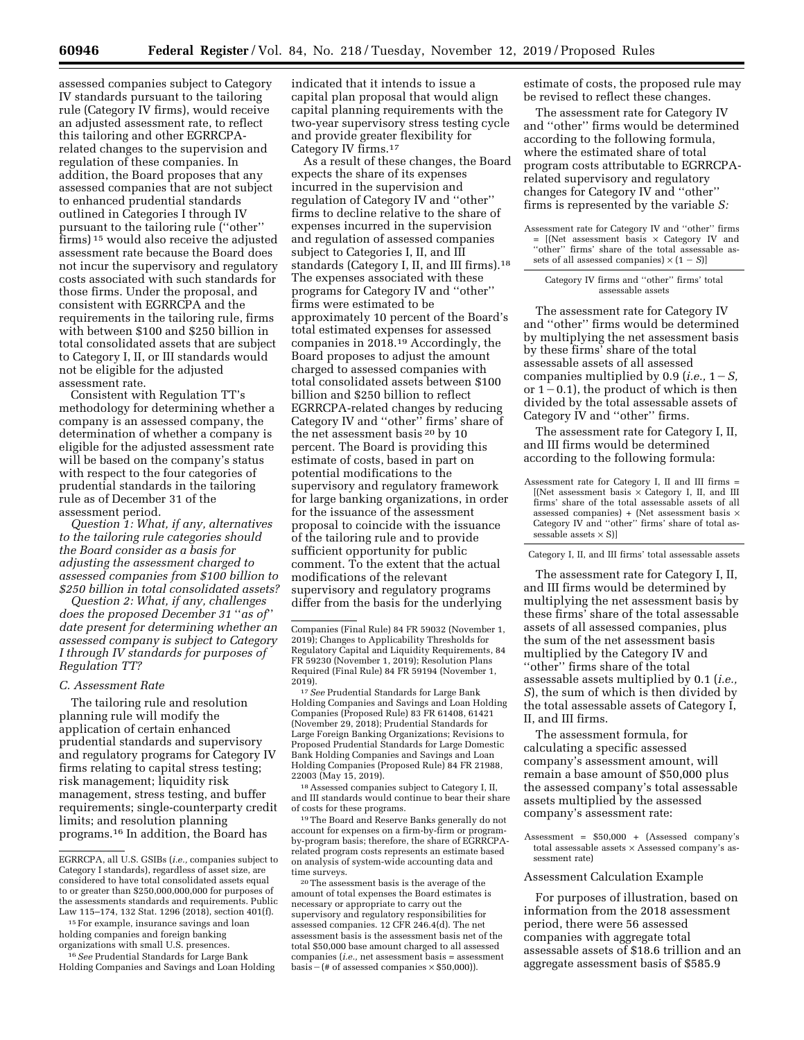assessed companies subject to Category IV standards pursuant to the tailoring rule (Category IV firms), would receive an adjusted assessment rate, to reflect this tailoring and other EGRRCPArelated changes to the supervision and regulation of these companies. In addition, the Board proposes that any assessed companies that are not subject to enhanced prudential standards outlined in Categories I through IV pursuant to the tailoring rule (''other'' firms) 15 would also receive the adjusted assessment rate because the Board does not incur the supervisory and regulatory costs associated with such standards for those firms. Under the proposal, and consistent with EGRRCPA and the requirements in the tailoring rule, firms with between \$100 and \$250 billion in total consolidated assets that are subject to Category I, II, or III standards would not be eligible for the adjusted assessment rate.

Consistent with Regulation TT's methodology for determining whether a company is an assessed company, the determination of whether a company is eligible for the adjusted assessment rate will be based on the company's status with respect to the four categories of prudential standards in the tailoring rule as of December 31 of the assessment period.

*Question 1: What, if any, alternatives to the tailoring rule categories should the Board consider as a basis for adjusting the assessment charged to assessed companies from \$100 billion to \$250 billion in total consolidated assets?* 

*Question 2: What, if any, challenges does the proposed December 31* ''*as of*'' *date present for determining whether an assessed company is subject to Category I through IV standards for purposes of Regulation TT?* 

### *C. Assessment Rate*

The tailoring rule and resolution planning rule will modify the application of certain enhanced prudential standards and supervisory and regulatory programs for Category IV firms relating to capital stress testing; risk management; liquidity risk management, stress testing, and buffer requirements; single-counterparty credit limits; and resolution planning programs.16 In addition, the Board has

16*See* Prudential Standards for Large Bank Holding Companies and Savings and Loan Holding indicated that it intends to issue a capital plan proposal that would align capital planning requirements with the two-year supervisory stress testing cycle and provide greater flexibility for Category IV firms.17

As a result of these changes, the Board expects the share of its expenses incurred in the supervision and regulation of Category IV and ''other'' firms to decline relative to the share of expenses incurred in the supervision and regulation of assessed companies subject to Categories I, II, and III standards (Category I, II, and III firms).18 The expenses associated with these programs for Category IV and ''other'' firms were estimated to be approximately 10 percent of the Board's total estimated expenses for assessed companies in 2018.19 Accordingly, the Board proposes to adjust the amount charged to assessed companies with total consolidated assets between \$100 billion and \$250 billion to reflect EGRRCPA-related changes by reducing Category IV and ''other'' firms' share of the net assessment basis 20 by 10 percent. The Board is providing this estimate of costs, based in part on potential modifications to the supervisory and regulatory framework for large banking organizations, in order for the issuance of the assessment proposal to coincide with the issuance of the tailoring rule and to provide sufficient opportunity for public comment. To the extent that the actual modifications of the relevant supervisory and regulatory programs differ from the basis for the underlying

17*See* Prudential Standards for Large Bank Holding Companies and Savings and Loan Holding Companies (Proposed Rule) 83 FR 61408, 61421 (November 29, 2018); Prudential Standards for Large Foreign Banking Organizations; Revisions to Proposed Prudential Standards for Large Domestic Bank Holding Companies and Savings and Loan Holding Companies (Proposed Rule) 84 FR 21988, 22003 (May 15, 2019).

18Assessed companies subject to Category I, II, and III standards would continue to bear their share of costs for these programs.

19The Board and Reserve Banks generally do not account for expenses on a firm-by-firm or programby-program basis; therefore, the share of EGRRCPArelated program costs represents an estimate based on analysis of system-wide accounting data and time surveys.

20The assessment basis is the average of the amount of total expenses the Board estimates is necessary or appropriate to carry out the supervisory and regulatory responsibilities for assessed companies. 12 CFR 246.4(d). The net assessment basis is the assessment basis net of the total \$50,000 base amount charged to all assessed companies (*i.e.,* net assessment basis = assessment basis  $-(# of assessed companies \times $50,000)$ .

estimate of costs, the proposed rule may be revised to reflect these changes.

The assessment rate for Category IV and ''other'' firms would be determined according to the following formula, where the estimated share of total program costs attributable to EGRRCPArelated supervisory and regulatory changes for Category IV and ''other'' firms is represented by the variable *S:* 

Assessment rate for Category IV and ''other'' firms  $=$  [(Net assessment basis  $\times$  Category IV and "other" firms' share of the total assessable assets of all assessed companies)  $\times$   $(1 - S)$ ]

### Category IV firms and ''other'' firms' total assessable assets

The assessment rate for Category IV and ''other'' firms would be determined by multiplying the net assessment basis by these firms' share of the total assessable assets of all assessed companies multiplied by 0.9 (*i.e.*,  $1-S$ *,* or  $1 - 0.1$ , the product of which is then divided by the total assessable assets of Category IV and ''other'' firms.

The assessment rate for Category I, II, and III firms would be determined according to the following formula:

Assessment rate for Category I, II and III firms = [(Net assessment basis  $\times$  Category I, II, and III firms' share of the total assessable assets of all assessed companies) + (Net assessment basis  $\times$ Category IV and ''other'' firms' share of total assessable assets  $\times$  S)]

Category I, II, and III firms' total assessable assets

The assessment rate for Category I, II, and III firms would be determined by multiplying the net assessment basis by these firms' share of the total assessable assets of all assessed companies, plus the sum of the net assessment basis multiplied by the Category IV and ''other'' firms share of the total assessable assets multiplied by 0.1 (*i.e., S*), the sum of which is then divided by the total assessable assets of Category I, II, and III firms.

The assessment formula, for calculating a specific assessed company's assessment amount, will remain a base amount of \$50,000 plus the assessed company's total assessable assets multiplied by the assessed company's assessment rate:

# Assessment Calculation Example

For purposes of illustration, based on information from the 2018 assessment period, there were 56 assessed companies with aggregate total assessable assets of \$18.6 trillion and an aggregate assessment basis of \$585.9

EGRRCPA, all U.S. GSIBs (*i.e.,* companies subject to Category I standards), regardless of asset size, are considered to have total consolidated assets equal to or greater than \$250,000,000,000 for purposes of the assessments standards and requirements. Public Law 115–174, 132 Stat. 1296 (2018), section 401(f).

<sup>15</sup>For example, insurance savings and loan holding companies and foreign banking organizations with small U.S. presences.

Companies (Final Rule) 84 FR 59032 (November 1, 2019); Changes to Applicability Thresholds for Regulatory Capital and Liquidity Requirements, 84 FR 59230 (November 1, 2019); Resolution Plans Required (Final Rule) 84 FR 59194 (November 1, 2019).

Assessment = \$50,000 + (Assessed company's total assessable assets  $\times$  Assessed company's assessment rate)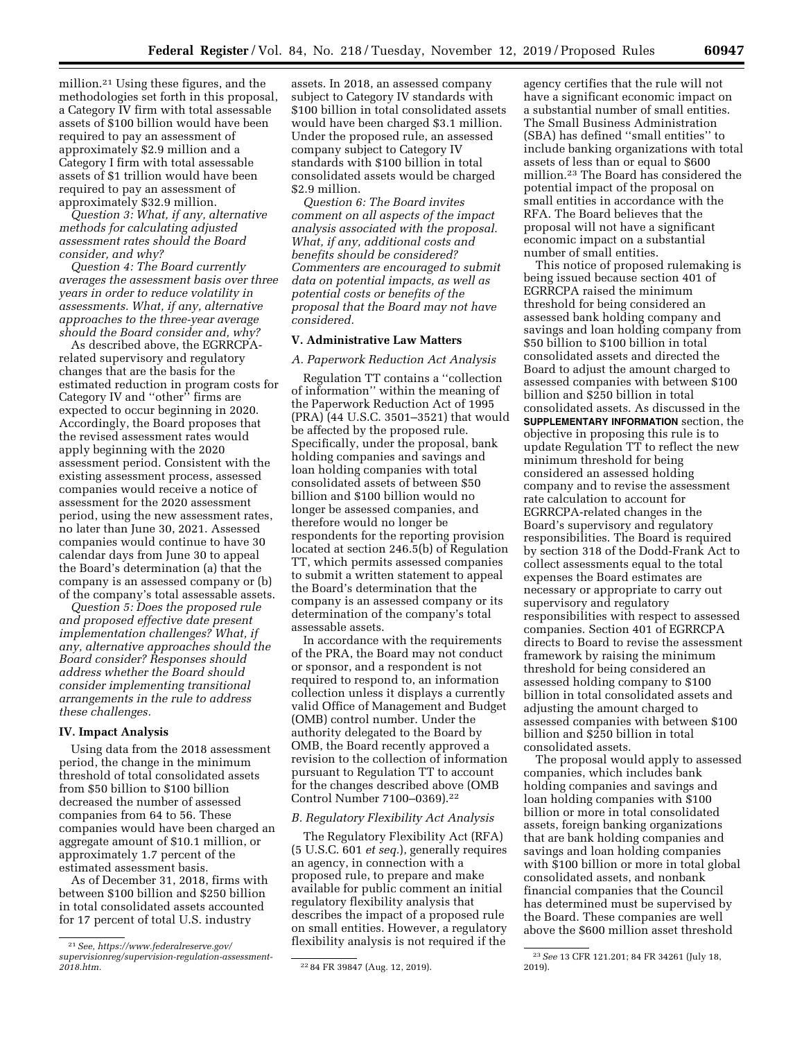million.21 Using these figures, and the methodologies set forth in this proposal, a Category IV firm with total assessable assets of \$100 billion would have been required to pay an assessment of approximately \$2.9 million and a Category I firm with total assessable assets of \$1 trillion would have been required to pay an assessment of approximately \$32.9 million.

*Question 3: What, if any, alternative methods for calculating adjusted assessment rates should the Board consider, and why?* 

*Question 4: The Board currently averages the assessment basis over three years in order to reduce volatility in assessments. What, if any, alternative approaches to the three-year average should the Board consider and, why?* 

As described above, the EGRRCPArelated supervisory and regulatory changes that are the basis for the estimated reduction in program costs for Category IV and ''other'' firms are expected to occur beginning in 2020. Accordingly, the Board proposes that the revised assessment rates would apply beginning with the 2020 assessment period. Consistent with the existing assessment process, assessed companies would receive a notice of assessment for the 2020 assessment period, using the new assessment rates, no later than June 30, 2021. Assessed companies would continue to have 30 calendar days from June 30 to appeal the Board's determination (a) that the company is an assessed company or (b) of the company's total assessable assets.

*Question 5: Does the proposed rule and proposed effective date present implementation challenges? What, if any, alternative approaches should the Board consider? Responses should address whether the Board should consider implementing transitional arrangements in the rule to address these challenges.* 

### **IV. Impact Analysis**

Using data from the 2018 assessment period, the change in the minimum threshold of total consolidated assets from \$50 billion to \$100 billion decreased the number of assessed companies from 64 to 56. These companies would have been charged an aggregate amount of \$10.1 million, or approximately 1.7 percent of the estimated assessment basis.

As of December 31, 2018, firms with between \$100 billion and \$250 billion in total consolidated assets accounted for 17 percent of total U.S. industry

assets. In 2018, an assessed company subject to Category IV standards with \$100 billion in total consolidated assets would have been charged \$3.1 million. Under the proposed rule, an assessed company subject to Category IV standards with \$100 billion in total consolidated assets would be charged \$2.9 million.

*Question 6: The Board invites comment on all aspects of the impact analysis associated with the proposal. What, if any, additional costs and benefits should be considered? Commenters are encouraged to submit data on potential impacts, as well as potential costs or benefits of the proposal that the Board may not have considered.* 

# **V. Administrative Law Matters**

*A. Paperwork Reduction Act Analysis* 

Regulation TT contains a ''collection of information'' within the meaning of the Paperwork Reduction Act of 1995 (PRA) (44 U.S.C. 3501–3521) that would be affected by the proposed rule. Specifically, under the proposal, bank holding companies and savings and loan holding companies with total consolidated assets of between \$50 billion and \$100 billion would no longer be assessed companies, and therefore would no longer be respondents for the reporting provision located at section 246.5(b) of Regulation TT, which permits assessed companies to submit a written statement to appeal the Board's determination that the company is an assessed company or its determination of the company's total assessable assets.

In accordance with the requirements of the PRA, the Board may not conduct or sponsor, and a respondent is not required to respond to, an information collection unless it displays a currently valid Office of Management and Budget (OMB) control number. Under the authority delegated to the Board by OMB, the Board recently approved a revision to the collection of information pursuant to Regulation TT to account for the changes described above (OMB Control Number 7100–0369).22

### *B. Regulatory Flexibility Act Analysis*

The Regulatory Flexibility Act (RFA) (5 U.S.C. 601 *et seq.*), generally requires an agency, in connection with a proposed rule, to prepare and make available for public comment an initial regulatory flexibility analysis that describes the impact of a proposed rule on small entities. However, a regulatory flexibility analysis is not required if the

agency certifies that the rule will not have a significant economic impact on a substantial number of small entities. The Small Business Administration (SBA) has defined ''small entities'' to include banking organizations with total assets of less than or equal to \$600 million.23 The Board has considered the potential impact of the proposal on small entities in accordance with the RFA. The Board believes that the proposal will not have a significant economic impact on a substantial number of small entities.

This notice of proposed rulemaking is being issued because section 401 of EGRRCPA raised the minimum threshold for being considered an assessed bank holding company and savings and loan holding company from \$50 billion to \$100 billion in total consolidated assets and directed the Board to adjust the amount charged to assessed companies with between \$100 billion and \$250 billion in total consolidated assets. As discussed in the **SUPPLEMENTARY INFORMATION** section, the objective in proposing this rule is to update Regulation TT to reflect the new minimum threshold for being considered an assessed holding company and to revise the assessment rate calculation to account for EGRRCPA-related changes in the Board's supervisory and regulatory responsibilities. The Board is required by section 318 of the Dodd-Frank Act to collect assessments equal to the total expenses the Board estimates are necessary or appropriate to carry out supervisory and regulatory responsibilities with respect to assessed companies. Section 401 of EGRRCPA directs to Board to revise the assessment framework by raising the minimum threshold for being considered an assessed holding company to \$100 billion in total consolidated assets and adjusting the amount charged to assessed companies with between \$100 billion and \$250 billion in total consolidated assets.

The proposal would apply to assessed companies, which includes bank holding companies and savings and loan holding companies with \$100 billion or more in total consolidated assets, foreign banking organizations that are bank holding companies and savings and loan holding companies with \$100 billion or more in total global consolidated assets, and nonbank financial companies that the Council has determined must be supervised by the Board. These companies are well above the \$600 million asset threshold

<sup>21</sup>*See, [https://www.federalreserve.gov/](https://www.federalreserve.gov/supervisionreg/supervision-regulation-assessment-2018.htm)  [supervisionreg/supervision-regulation-assessment-](https://www.federalreserve.gov/supervisionreg/supervision-regulation-assessment-2018.htm)*

*[<sup>2018.</sup>htm.](https://www.federalreserve.gov/supervisionreg/supervision-regulation-assessment-2018.htm)* 22 84 FR 39847 (Aug. 12, 2019).

<sup>23</sup>*See* 13 CFR 121.201; 84 FR 34261 (July 18, 2019).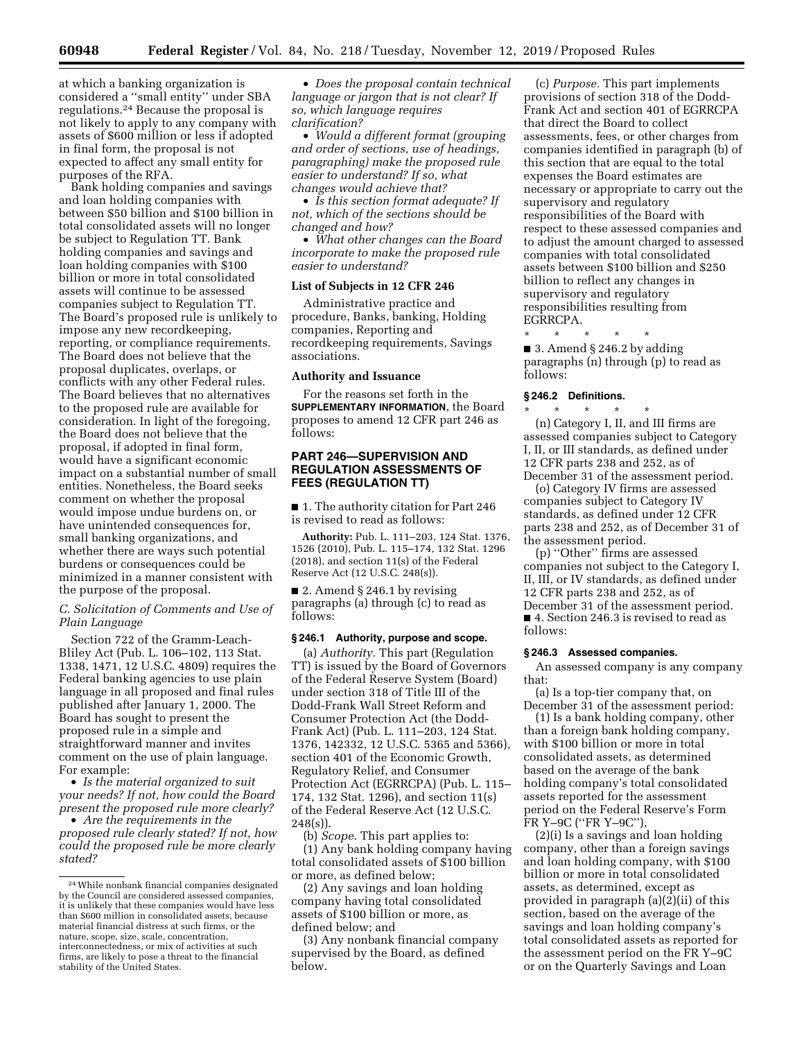at which a banking organization is considered a ''small entity'' under SBA regulations.24 Because the proposal is not likely to apply to any company with assets of \$600 million or less if adopted in final form, the proposal is not expected to affect any small entity for purposes of the RFA.

Bank holding companies and savings and loan holding companies with between \$50 billion and \$100 billion in total consolidated assets will no longer be subject to Regulation TT. Bank holding companies and savings and loan holding companies with \$100 billion or more in total consolidated assets will continue to be assessed companies subject to Regulation TT. The Board's proposed rule is unlikely to impose any new recordkeeping, reporting, or compliance requirements. The Board does not believe that the proposal duplicates, overlaps, or conflicts with any other Federal rules. The Board believes that no alternatives to the proposed rule are available for consideration. In light of the foregoing, the Board does not believe that the proposal, if adopted in final form, would have a significant economic impact on a substantial number of small entities. Nonetheless, the Board seeks comment on whether the proposal would impose undue burdens on, or have unintended consequences for, small banking organizations, and whether there are ways such potential burdens or consequences could be minimized in a manner consistent with the purpose of the proposal.

# *C. Solicitation of Comments and Use of Plain Language*

Section 722 of the Gramm-Leach-Bliley Act (Pub. L. 106–102, 113 Stat. 1338, 1471, 12 U.S.C. 4809) requires the Federal banking agencies to use plain language in all proposed and final rules published after January 1, 2000. The Board has sought to present the proposed rule in a simple and straightforward manner and invites comment on the use of plain language. For example:

• *Is the material organized to suit your needs? If not, how could the Board present the proposed rule more clearly?* 

• *Are the requirements in the proposed rule clearly stated? If not, how could the proposed rule be more clearly stated?* 

• *Does the proposal contain technical language or jargon that is not clear? If so, which language requires clarification?* 

• *Would a different format (grouping and order of sections, use of headings, paragraphing) make the proposed rule easier to understand? If so, what changes would achieve that?* 

• *Is this section format adequate? If not, which of the sections should be changed and how?* 

• *What other changes can the Board incorporate to make the proposed rule easier to understand?* 

### **List of Subjects in 12 CFR 246**

Administrative practice and procedure, Banks, banking, Holding companies, Reporting and recordkeeping requirements, Savings associations.

### **Authority and Issuance**

For the reasons set forth in the **SUPPLEMENTARY INFORMATION**, the Board proposes to amend 12 CFR part 246 as follows:

# **PART 246—SUPERVISION AND REGULATION ASSESSMENTS OF FEES (REGULATION TT)**

■ 1. The authority citation for Part 246 is revised to read as follows:

**Authority:** Pub. L. 111–203, 124 Stat. 1376, 1526 (2010), Pub. L. 115–174, 132 Stat. 1296 (2018), and section 11(s) of the Federal Reserve Act (12 U.S.C. 248(s)).

■ 2. Amend § 246.1 by revising paragraphs (a) through (c) to read as follows:

# **§ 246.1 Authority, purpose and scope.**

(a) *Authority.* This part (Regulation TT) is issued by the Board of Governors of the Federal Reserve System (Board) under section 318 of Title III of the Dodd-Frank Wall Street Reform and Consumer Protection Act (the Dodd-Frank Act) (Pub. L. 111–203, 124 Stat. 1376, 142332, 12 U.S.C. 5365 and 5366), section 401 of the Economic Growth, Regulatory Relief, and Consumer Protection Act (EGRRCPA) (Pub. L. 115– 174, 132 Stat. 1296), and section 11(s) of the Federal Reserve Act (12 U.S.C. 248(s)).

(b) *Scope.* This part applies to: (1) Any bank holding company having total consolidated assets of \$100 billion or more, as defined below;

(2) Any savings and loan holding company having total consolidated assets of \$100 billion or more, as defined below; and

(3) Any nonbank financial company supervised by the Board, as defined below.

(c) *Purpose.* This part implements provisions of section 318 of the Dodd-Frank Act and section 401 of EGRRCPA that direct the Board to collect assessments, fees, or other charges from companies identified in paragraph (b) of this section that are equal to the total expenses the Board estimates are necessary or appropriate to carry out the supervisory and regulatory responsibilities of the Board with respect to these assessed companies and to adjust the amount charged to assessed companies with total consolidated assets between \$100 billion and \$250 billion to reflect any changes in supervisory and regulatory responsibilities resulting from EGRRCPA.

\* \* \* \* \* ■ 3. Amend § 246.2 by adding paragraphs (n) through (p) to read as follows:

### **§ 246.2 Definitions.**

\* \* \* \* \* (n) Category I, II, and III firms are assessed companies subject to Category I, II, or III standards, as defined under 12 CFR parts 238 and 252, as of December 31 of the assessment period.

(o) Category IV firms are assessed companies subject to Category IV standards, as defined under 12 CFR parts 238 and 252, as of December 31 of the assessment period.

(p) ''Other'' firms are assessed companies not subject to the Category I, II, III, or IV standards, as defined under 12 CFR parts 238 and 252, as of December 31 of the assessment period. ■ 4. Section 246.3 is revised to read as follows:

### **§ 246.3 Assessed companies.**

An assessed company is any company that:

(a) Is a top-tier company that, on December 31 of the assessment period:

(1) Is a bank holding company, other than a foreign bank holding company, with \$100 billion or more in total consolidated assets, as determined based on the average of the bank holding company's total consolidated assets reported for the assessment period on the Federal Reserve's Form FR Y–9C (''FR Y–9C''),

(2)(i) Is a savings and loan holding company, other than a foreign savings and loan holding company, with \$100 billion or more in total consolidated assets, as determined, except as provided in paragraph (a)(2)(ii) of this section, based on the average of the savings and loan holding company's total consolidated assets as reported for the assessment period on the FR Y–9C or on the Quarterly Savings and Loan

<sup>24</sup>While nonbank financial companies designated by the Council are considered assessed companies, it is unlikely that these companies would have less than \$600 million in consolidated assets, because material financial distress at such firms, or the nature, scope, size, scale, concentration, interconnectedness, or mix of activities at such firms, are likely to pose a threat to the financial stability of the United States.